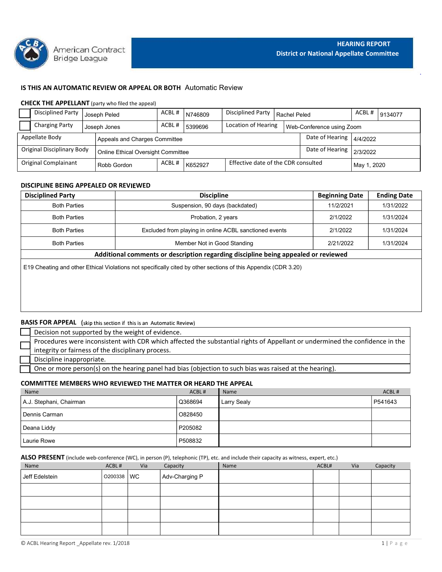

# IS THIS AN AUTOMATIC REVIEW OR APPEAL OR BOTH Automatic Review

### CHECK THE APPELLANT (party who filed the appeal)

| <b>HEARING REPORT</b><br>American Contract<br><b>District or National Appellate Committee</b><br><b>Bridge League</b><br>IS THIS AN AUTOMATIC REVIEW OR APPEAL OR BOTH Automatic Review<br><b>CHECK THE APPELLANT</b> (party who filed the appeal)<br><b>Disciplined Party</b><br>ACBL#<br>Disciplined Party<br>ACBL#<br>N746809<br>9134077<br>Rachel Peled<br>Joseph Peled<br><b>Charging Party</b><br>ACBL#<br>Location of Hearing<br>5399696<br>Web-Conference using Zoom<br>Joseph Jones<br>Date of Hearing<br>Appellate Body<br>Appeals and Charges Committee<br>4/4/2022<br><b>Original Disciplinary Body</b><br>Date of Hearing<br>2/3/2022<br>Online Ethical Oversight Committee<br>Effective date of the CDR consulted<br>Original Complainant<br>ACBL#<br>K652927<br>Robb Gordon<br>May 1, 2020<br>DISCIPLINE BEING APPEALED OR REVIEWED<br><b>Discipline</b><br><b>Ending Date</b><br><b>Beginning Date</b><br><b>Disciplined Party</b><br><b>Both Parties</b><br>Suspension, 90 days (backdated)<br>11/2/2021<br>1/31/2022<br><b>Both Parties</b><br>Probation, 2 years<br>2/1/2022<br>1/31/2024<br><b>Both Parties</b><br>Excluded from playing in online ACBL sanctioned events<br>2/1/2022<br>1/31/2024<br><b>Both Parties</b><br>Member Not in Good Standing<br>1/31/2024 |  |  |  |  |  |           |  |  |
|-------------------------------------------------------------------------------------------------------------------------------------------------------------------------------------------------------------------------------------------------------------------------------------------------------------------------------------------------------------------------------------------------------------------------------------------------------------------------------------------------------------------------------------------------------------------------------------------------------------------------------------------------------------------------------------------------------------------------------------------------------------------------------------------------------------------------------------------------------------------------------------------------------------------------------------------------------------------------------------------------------------------------------------------------------------------------------------------------------------------------------------------------------------------------------------------------------------------------------------------------------------------------------------------|--|--|--|--|--|-----------|--|--|
|                                                                                                                                                                                                                                                                                                                                                                                                                                                                                                                                                                                                                                                                                                                                                                                                                                                                                                                                                                                                                                                                                                                                                                                                                                                                                           |  |  |  |  |  |           |  |  |
|                                                                                                                                                                                                                                                                                                                                                                                                                                                                                                                                                                                                                                                                                                                                                                                                                                                                                                                                                                                                                                                                                                                                                                                                                                                                                           |  |  |  |  |  |           |  |  |
|                                                                                                                                                                                                                                                                                                                                                                                                                                                                                                                                                                                                                                                                                                                                                                                                                                                                                                                                                                                                                                                                                                                                                                                                                                                                                           |  |  |  |  |  |           |  |  |
|                                                                                                                                                                                                                                                                                                                                                                                                                                                                                                                                                                                                                                                                                                                                                                                                                                                                                                                                                                                                                                                                                                                                                                                                                                                                                           |  |  |  |  |  |           |  |  |
|                                                                                                                                                                                                                                                                                                                                                                                                                                                                                                                                                                                                                                                                                                                                                                                                                                                                                                                                                                                                                                                                                                                                                                                                                                                                                           |  |  |  |  |  |           |  |  |
|                                                                                                                                                                                                                                                                                                                                                                                                                                                                                                                                                                                                                                                                                                                                                                                                                                                                                                                                                                                                                                                                                                                                                                                                                                                                                           |  |  |  |  |  |           |  |  |
|                                                                                                                                                                                                                                                                                                                                                                                                                                                                                                                                                                                                                                                                                                                                                                                                                                                                                                                                                                                                                                                                                                                                                                                                                                                                                           |  |  |  |  |  |           |  |  |
|                                                                                                                                                                                                                                                                                                                                                                                                                                                                                                                                                                                                                                                                                                                                                                                                                                                                                                                                                                                                                                                                                                                                                                                                                                                                                           |  |  |  |  |  |           |  |  |
|                                                                                                                                                                                                                                                                                                                                                                                                                                                                                                                                                                                                                                                                                                                                                                                                                                                                                                                                                                                                                                                                                                                                                                                                                                                                                           |  |  |  |  |  |           |  |  |
|                                                                                                                                                                                                                                                                                                                                                                                                                                                                                                                                                                                                                                                                                                                                                                                                                                                                                                                                                                                                                                                                                                                                                                                                                                                                                           |  |  |  |  |  |           |  |  |
|                                                                                                                                                                                                                                                                                                                                                                                                                                                                                                                                                                                                                                                                                                                                                                                                                                                                                                                                                                                                                                                                                                                                                                                                                                                                                           |  |  |  |  |  |           |  |  |
|                                                                                                                                                                                                                                                                                                                                                                                                                                                                                                                                                                                                                                                                                                                                                                                                                                                                                                                                                                                                                                                                                                                                                                                                                                                                                           |  |  |  |  |  |           |  |  |
|                                                                                                                                                                                                                                                                                                                                                                                                                                                                                                                                                                                                                                                                                                                                                                                                                                                                                                                                                                                                                                                                                                                                                                                                                                                                                           |  |  |  |  |  |           |  |  |
|                                                                                                                                                                                                                                                                                                                                                                                                                                                                                                                                                                                                                                                                                                                                                                                                                                                                                                                                                                                                                                                                                                                                                                                                                                                                                           |  |  |  |  |  |           |  |  |
|                                                                                                                                                                                                                                                                                                                                                                                                                                                                                                                                                                                                                                                                                                                                                                                                                                                                                                                                                                                                                                                                                                                                                                                                                                                                                           |  |  |  |  |  |           |  |  |
|                                                                                                                                                                                                                                                                                                                                                                                                                                                                                                                                                                                                                                                                                                                                                                                                                                                                                                                                                                                                                                                                                                                                                                                                                                                                                           |  |  |  |  |  |           |  |  |
|                                                                                                                                                                                                                                                                                                                                                                                                                                                                                                                                                                                                                                                                                                                                                                                                                                                                                                                                                                                                                                                                                                                                                                                                                                                                                           |  |  |  |  |  |           |  |  |
|                                                                                                                                                                                                                                                                                                                                                                                                                                                                                                                                                                                                                                                                                                                                                                                                                                                                                                                                                                                                                                                                                                                                                                                                                                                                                           |  |  |  |  |  |           |  |  |
|                                                                                                                                                                                                                                                                                                                                                                                                                                                                                                                                                                                                                                                                                                                                                                                                                                                                                                                                                                                                                                                                                                                                                                                                                                                                                           |  |  |  |  |  |           |  |  |
|                                                                                                                                                                                                                                                                                                                                                                                                                                                                                                                                                                                                                                                                                                                                                                                                                                                                                                                                                                                                                                                                                                                                                                                                                                                                                           |  |  |  |  |  |           |  |  |
|                                                                                                                                                                                                                                                                                                                                                                                                                                                                                                                                                                                                                                                                                                                                                                                                                                                                                                                                                                                                                                                                                                                                                                                                                                                                                           |  |  |  |  |  |           |  |  |
|                                                                                                                                                                                                                                                                                                                                                                                                                                                                                                                                                                                                                                                                                                                                                                                                                                                                                                                                                                                                                                                                                                                                                                                                                                                                                           |  |  |  |  |  | 2/21/2022 |  |  |

# DISCIPLINE BEING APPEALED OR REVIEWED

|                                                         | <b>Bridge League</b> | American Contract |                                                                            |       |                             |                                                                                                                              |              | <b>District or National Appellate Committee</b> | <b>HEARING REPORT</b> |                    |  |
|---------------------------------------------------------|----------------------|-------------------|----------------------------------------------------------------------------|-------|-----------------------------|------------------------------------------------------------------------------------------------------------------------------|--------------|-------------------------------------------------|-----------------------|--------------------|--|
|                                                         |                      |                   | IS THIS AN AUTOMATIC REVIEW OR APPEAL OR BOTH Automatic Review             |       |                             |                                                                                                                              |              |                                                 |                       |                    |  |
| <b>CHECK THE APPELLANT</b> (party who filed the appeal) |                      |                   |                                                                            |       |                             |                                                                                                                              |              |                                                 |                       |                    |  |
| <b>Disciplined Party</b>                                |                      | Joseph Peled      |                                                                            | ACBL# | N746809                     | <b>Disciplined Party</b>                                                                                                     | Rachel Peled |                                                 | ACBL#                 | 9134077            |  |
| <b>Charging Party</b>                                   |                      | Joseph Jones      |                                                                            | ACBL# | 5399696                     | Location of Hearing                                                                                                          |              | Web-Conference using Zoom                       |                       |                    |  |
| Appellate Body                                          |                      |                   | Appeals and Charges Committee                                              |       |                             |                                                                                                                              |              | Date of Hearing                                 | 4/4/2022              |                    |  |
| <b>Original Disciplinary Body</b>                       |                      |                   |                                                                            |       |                             |                                                                                                                              |              | Date of Hearing                                 | 2/3/2022              |                    |  |
| <b>Original Complainant</b>                             |                      |                   | Online Ethical Oversight Committee                                         | ACBL# |                             | Effective date of the CDR consulted                                                                                          |              |                                                 |                       |                    |  |
|                                                         |                      | Robb Gordon       |                                                                            |       | K652927                     |                                                                                                                              |              |                                                 |                       | May 1, 2020        |  |
| DISCIPLINE BEING APPEALED OR REVIEWED                   |                      |                   |                                                                            |       |                             |                                                                                                                              |              |                                                 |                       |                    |  |
| <b>Disciplined Party</b>                                |                      |                   |                                                                            |       | <b>Discipline</b>           |                                                                                                                              |              | <b>Beginning Date</b>                           |                       | <b>Ending Date</b> |  |
|                                                         | <b>Both Parties</b>  |                   |                                                                            |       |                             | Suspension, 90 days (backdated)                                                                                              |              | 11/2/2021                                       |                       | 1/31/2022          |  |
|                                                         | <b>Both Parties</b>  |                   |                                                                            |       | Probation, 2 years          |                                                                                                                              |              | 2/1/2022                                        |                       | 1/31/2024          |  |
|                                                         | <b>Both Parties</b>  |                   |                                                                            |       |                             | Excluded from playing in online ACBL sanctioned events                                                                       |              | 2/1/2022                                        |                       | 1/31/2024          |  |
|                                                         | <b>Both Parties</b>  |                   |                                                                            |       | Member Not in Good Standing |                                                                                                                              |              | 2/21/2022                                       |                       | 1/31/2024          |  |
|                                                         |                      |                   |                                                                            |       |                             | Additional comments or description regarding discipline being appealed or reviewed                                           |              |                                                 |                       |                    |  |
|                                                         |                      |                   |                                                                            |       |                             |                                                                                                                              |              |                                                 |                       |                    |  |
|                                                         |                      |                   |                                                                            |       |                             | E19 Cheating and other Ethical Violations not specifically cited by other sections of this Appendix (CDR 3.20)               |              |                                                 |                       |                    |  |
|                                                         |                      |                   |                                                                            |       |                             |                                                                                                                              |              |                                                 |                       |                    |  |
|                                                         |                      |                   |                                                                            |       |                             |                                                                                                                              |              |                                                 |                       |                    |  |
|                                                         |                      |                   |                                                                            |       |                             |                                                                                                                              |              |                                                 |                       |                    |  |
|                                                         |                      |                   | <b>BASIS FOR APPEAL</b> (skip this section if this is an Automatic Review) |       |                             |                                                                                                                              |              |                                                 |                       |                    |  |
|                                                         |                      |                   | Decision not supported by the weight of evidence.                          |       |                             |                                                                                                                              |              |                                                 |                       |                    |  |
|                                                         |                      |                   |                                                                            |       |                             | Procedures were inconsistent with CDR which affected the substantial rights of Appellant or undermined the confidence in the |              |                                                 |                       |                    |  |
|                                                         |                      |                   | integrity or fairness of the disciplinary process.                         |       |                             |                                                                                                                              |              |                                                 |                       |                    |  |
| Discipline inappropriate.                               |                      |                   |                                                                            |       |                             |                                                                                                                              |              |                                                 |                       |                    |  |
|                                                         |                      |                   |                                                                            |       |                             | One or more person(s) on the hearing panel had bias (objection to such bias was raised at the hearing).                      |              |                                                 |                       |                    |  |
|                                                         |                      |                   | COMMITTEE MEMBERS WHO REVIEWED THE MATTER OR HEARD THE APPEAL              |       |                             |                                                                                                                              |              |                                                 |                       |                    |  |
| Name                                                    |                      |                   |                                                                            |       | ACBL#                       | Name                                                                                                                         |              |                                                 |                       | ACBL#              |  |
| A.J. Stephani, Chairman                                 |                      |                   |                                                                            |       | Q368694                     | Larry Sealy                                                                                                                  |              |                                                 |                       | P541643            |  |
| Dennis Carman                                           |                      |                   |                                                                            |       | O828450                     |                                                                                                                              |              |                                                 |                       |                    |  |
|                                                         |                      |                   |                                                                            |       | P205082                     |                                                                                                                              |              |                                                 |                       |                    |  |
| Deana Liddy                                             |                      |                   |                                                                            |       |                             |                                                                                                                              |              |                                                 |                       |                    |  |
| Laurie Rowe                                             |                      |                   |                                                                            |       | P508832                     |                                                                                                                              |              |                                                 |                       |                    |  |

# **BASIS FOR APPEAL** (skip this section if this is an Automatic Review)

| Decision not supported by the weight of evidence.                                                                            |
|------------------------------------------------------------------------------------------------------------------------------|
| Procedures were inconsistent with CDR which affected the substantial rights of Appellant or undermined the confidence in the |
| integrity or fairness of the disciplinary process.                                                                           |
| Discipline inappropriate.                                                                                                    |
| One or more person(s) on the hearing panel had bias (objection to such bias was raised at the hearing).                      |

### COMMITTEE MEMBERS WHO REVIEWED THE MATTER OR HEARD THE APPEAL

| <b>Both Parties</b>                                                                                                                  |         |           |                | Member Not in Good Standing                                                        |  | 2/21/2022<br>1/31/2024 |     |          |
|--------------------------------------------------------------------------------------------------------------------------------------|---------|-----------|----------------|------------------------------------------------------------------------------------|--|------------------------|-----|----------|
|                                                                                                                                      |         |           |                | Additional comments or description regarding discipline being appealed or reviewed |  |                        |     |          |
| E19 Cheating and other Ethical Violations not specifically cited by other sections of this Appendix (CDR 3.20)                       |         |           |                |                                                                                    |  |                        |     |          |
|                                                                                                                                      |         |           |                |                                                                                    |  |                        |     |          |
|                                                                                                                                      |         |           |                |                                                                                    |  |                        |     |          |
|                                                                                                                                      |         |           |                |                                                                                    |  |                        |     |          |
|                                                                                                                                      |         |           |                |                                                                                    |  |                        |     |          |
| <b>BASIS FOR APPEAL</b> (skip this section if this is an Automatic Review)                                                           |         |           |                |                                                                                    |  |                        |     |          |
| Decision not supported by the weight of evidence.                                                                                    |         |           |                |                                                                                    |  |                        |     |          |
| Procedures were inconsistent with CDR which affected the substantial rights of Appellant or undermined the confidence in the         |         |           |                |                                                                                    |  |                        |     |          |
| integrity or fairness of the disciplinary process.                                                                                   |         |           |                |                                                                                    |  |                        |     |          |
| Discipline inappropriate.                                                                                                            |         |           |                |                                                                                    |  |                        |     |          |
| One or more person(s) on the hearing panel had bias (objection to such bias was raised at the hearing).                              |         |           |                |                                                                                    |  |                        |     |          |
| <b>COMMITTEE MEMBERS WHO REVIEWED THE MATTER OR HEARD THE APPEAL</b>                                                                 |         |           |                |                                                                                    |  |                        |     |          |
| Name                                                                                                                                 |         |           | ACBL#          | Name                                                                               |  |                        |     | ACBL#    |
| A.J. Stephani, Chairman                                                                                                              |         |           | Q368694        | Larry Sealy                                                                        |  |                        |     | P541643  |
| Dennis Carman                                                                                                                        |         |           | O828450        |                                                                                    |  |                        |     |          |
| Deana Liddy                                                                                                                          |         |           | P205082        |                                                                                    |  |                        |     |          |
| Laurie Rowe                                                                                                                          |         |           | P508832        |                                                                                    |  |                        |     |          |
| ALSO PRESENT (include web-conference (WC), in person (P), telephonic (TP), etc. and include their capacity as witness, expert, etc.) |         |           |                |                                                                                    |  |                        |     |          |
| Name                                                                                                                                 | ACBL#   | Via       | Capacity       | Name                                                                               |  | ACBL#                  | Via | Capacity |
| Jeff Edelstein                                                                                                                       | O200338 | <b>WC</b> | Adv-Charging P |                                                                                    |  |                        |     |          |
|                                                                                                                                      |         |           |                |                                                                                    |  |                        |     |          |

#### ALSO PRESENT (include web-conference (WC), in person (P), telephonic (TP), etc. and include their capacity as witness, expert, etc.)

| <b>BASIS FOR APPEAL</b> (skip this section if this is an Automatic Review) |            |     |                |         |                                                                                                                                              |       |     |             |
|----------------------------------------------------------------------------|------------|-----|----------------|---------|----------------------------------------------------------------------------------------------------------------------------------------------|-------|-----|-------------|
| Decision not supported by the weight of evidence.                          |            |     |                |         |                                                                                                                                              |       |     |             |
| integrity or fairness of the disciplinary process.                         |            |     |                |         | Procedures were inconsistent with CDR which affected the substantial rights of Appellant or undermined the confidence in the                 |       |     |             |
| Discipline inappropriate.                                                  |            |     |                |         |                                                                                                                                              |       |     |             |
|                                                                            |            |     |                |         | One or more person(s) on the hearing panel had bias (objection to such bias was raised at the hearing).                                      |       |     |             |
| COMMITTEE MEMBERS WHO REVIEWED THE MATTER OR HEARD THE APPEAL              |            |     |                |         |                                                                                                                                              |       |     |             |
| Name                                                                       |            |     |                | ACBL#   | Name                                                                                                                                         |       |     | ACBL#       |
| A.J. Stephani, Chairman                                                    |            |     |                | Q368694 | Larry Sealy                                                                                                                                  |       |     | P541643     |
| Dennis Carman                                                              |            |     |                | O828450 |                                                                                                                                              |       |     |             |
| Deana Liddy                                                                |            |     |                | P205082 |                                                                                                                                              |       |     |             |
| Laurie Rowe                                                                |            |     |                | P508832 |                                                                                                                                              |       |     |             |
|                                                                            |            |     |                |         |                                                                                                                                              |       |     |             |
| Name                                                                       | ACBL#      | Via | Capacity       |         | ALSO PRESENT (include web-conference (WC), in person (P), telephonic (TP), etc. and include their capacity as witness, expert, etc.)<br>Name | ACBL# | Via | Capacity    |
|                                                                            | O200338 WC |     | Adv-Charging P |         |                                                                                                                                              |       |     |             |
| Jeff Edelstein                                                             |            |     |                |         |                                                                                                                                              |       |     |             |
|                                                                            |            |     |                |         |                                                                                                                                              |       |     |             |
|                                                                            |            |     |                |         |                                                                                                                                              |       |     |             |
|                                                                            |            |     |                |         |                                                                                                                                              |       |     |             |
|                                                                            |            |     |                |         |                                                                                                                                              |       |     |             |
|                                                                            |            |     |                |         |                                                                                                                                              |       |     |             |
|                                                                            |            |     |                |         |                                                                                                                                              |       |     |             |
| © ACBL Hearing Report _Appellate rev. 1/2018                               |            |     |                |         |                                                                                                                                              |       |     | 1   P a g e |
|                                                                            |            |     |                |         |                                                                                                                                              |       |     |             |
|                                                                            |            |     |                |         |                                                                                                                                              |       |     |             |
|                                                                            |            |     |                |         |                                                                                                                                              |       |     |             |